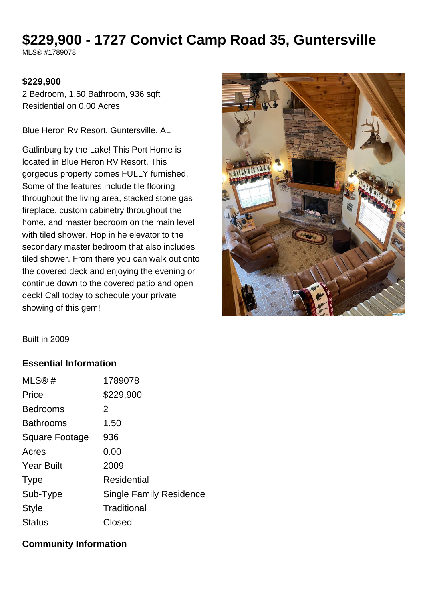# **\$229,900 - 1727 Convict Camp Road 35, Guntersville**

MLS® #1789078

#### **\$229,900**

2 Bedroom, 1.50 Bathroom, 936 sqft Residential on 0.00 Acres

Blue Heron Rv Resort, Guntersville, AL

Gatlinburg by the Lake! This Port Home is located in Blue Heron RV Resort. This gorgeous property comes FULLY furnished. Some of the features include tile flooring throughout the living area, stacked stone gas fireplace, custom cabinetry throughout the home, and master bedroom on the main level with tiled shower. Hop in he elevator to the secondary master bedroom that also includes tiled shower. From there you can walk out onto the covered deck and enjoying the evening or continue down to the covered patio and open deck! Call today to schedule your private showing of this gem!



Built in 2009

#### **Essential Information**

| 1789078                        |
|--------------------------------|
| \$229,900                      |
| 2                              |
| 1.50                           |
| 936                            |
| 0.00                           |
| 2009                           |
| Residential                    |
| <b>Single Family Residence</b> |
| Traditional                    |
| Closed                         |
|                                |

#### **Community Information**